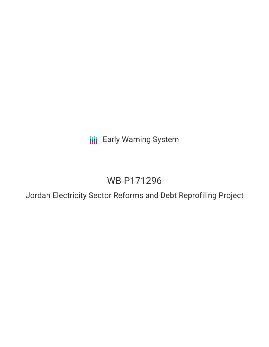**III** Early Warning System

# WB-P171296

Jordan Electricity Sector Reforms and Debt Reprofiling Project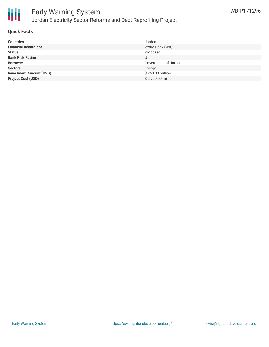

# Early Warning System Jordan Electricity Sector Reforms and Debt Reprofiling Project

### **Quick Facts**

| <b>Countries</b>               | Jordan               |
|--------------------------------|----------------------|
| <b>Financial Institutions</b>  | World Bank (WB)      |
| <b>Status</b>                  | Proposed             |
| <b>Bank Risk Rating</b>        | U                    |
| <b>Borrower</b>                | Government of Jordan |
| <b>Sectors</b>                 | Energy               |
| <b>Investment Amount (USD)</b> | \$250.00 million     |
| <b>Project Cost (USD)</b>      | \$2,900.00 million   |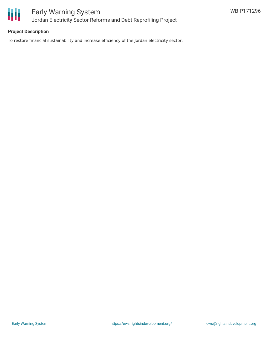

## **Project Description**

To restore financial sustainability and increase efficiency of the Jordan electricity sector.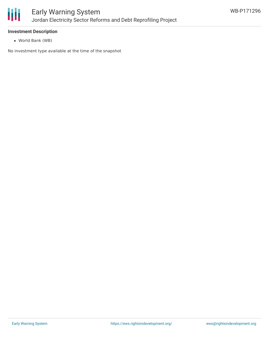

### **Investment Description**

World Bank (WB)

No investment type available at the time of the snapshot